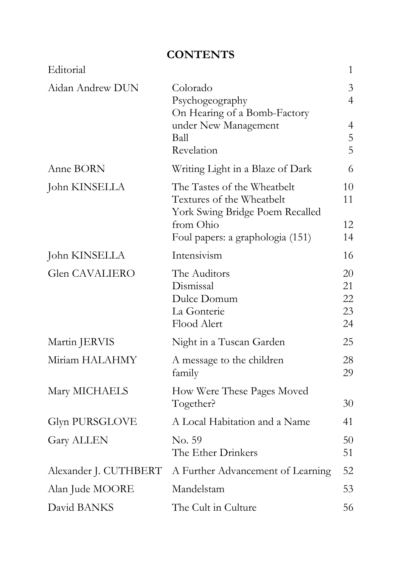## **CONTENTS**

| Editorial             |                                                                                             | $\mathbf{1}$               |
|-----------------------|---------------------------------------------------------------------------------------------|----------------------------|
| Aidan Andrew DUN      | Colorado<br>Psychogeography                                                                 | 3<br>$\overline{4}$        |
|                       | On Hearing of a Bomb-Factory<br>under New Management<br>Ball<br>Revelation                  | 4<br>5<br>5                |
| Anne BORN             | Writing Light in a Blaze of Dark                                                            | 6                          |
| John KINSELLA         | The Tastes of the Wheatbelt<br>Textures of the Wheatbelt<br>York Swing Bridge Poem Recalled | 10<br>11                   |
|                       | from Ohio<br>Foul papers: a graphologia (151)                                               | 12<br>14                   |
| John KINSELLA         | Intensivism                                                                                 | 16                         |
| Glen CAVALIERO        | The Auditors<br>Dismissal<br>Dulce Domum<br>La Gonterie<br>Flood Alert                      | 20<br>21<br>22<br>23<br>24 |
| Martin JERVIS         | Night in a Tuscan Garden                                                                    | 25                         |
| Miriam HALAHMY        | A message to the children<br>family                                                         | 28<br>29                   |
| Mary MICHAELS         | How Were These Pages Moved<br>Together?                                                     | 30                         |
| Glyn PURSGLOVE        | A Local Habitation and a Name                                                               | 41                         |
| <b>Gary ALLEN</b>     | No. 59<br>The Ether Drinkers                                                                | 50<br>51                   |
| Alexander J. CUTHBERT | A Further Advancement of Learning                                                           | 52                         |
| Alan Jude MOORE       | Mandelstam                                                                                  | 53                         |
| David BANKS           | The Cult in Culture                                                                         | 56                         |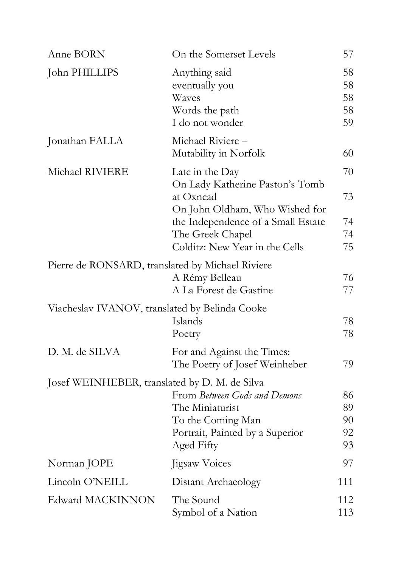| Anne BORN                                        | On the Somerset Levels                                                                                                     | 57                         |
|--------------------------------------------------|----------------------------------------------------------------------------------------------------------------------------|----------------------------|
| John PHILLIPS                                    | Anything said<br>eventually you<br>Waves<br>Words the path<br>I do not wonder                                              | 58<br>58<br>58<br>58<br>59 |
| Jonathan FALLA                                   | Michael Riviere-<br>Mutability in Norfolk                                                                                  | 60                         |
| Michael RIVIERE                                  | Late in the Day<br>On Lady Katherine Paston's Tomb<br>at Oxnead                                                            | 70<br>73                   |
|                                                  | On John Oldham, Who Wished for<br>the Independence of a Small Estate<br>The Greek Chapel<br>Colditz: New Year in the Cells | 74<br>74<br>75             |
| Pierre de RONSARD, translated by Michael Riviere | A Rémy Belleau<br>A La Forest de Gastine                                                                                   | 76<br>77                   |
| Viacheslav IVANOV, translated by Belinda Cooke   | Islands<br>Poetry                                                                                                          | 78<br>78                   |
| D. M. de SILVA                                   | For and Against the Times:<br>The Poetry of Josef Weinheber                                                                | 79                         |
| Josef WEINHEBER, translated by D. M. de Silva    | From Between Gods and Demons<br>The Miniaturist<br>To the Coming Man<br>Portrait, Painted by a Superior<br>Aged Fifty      | 86<br>89<br>90<br>92<br>93 |
| Norman JOPE                                      | Jigsaw Voices                                                                                                              | 97                         |
| Lincoln O'NEILL                                  | Distant Archaeology                                                                                                        | 111                        |
| Edward MACKINNON                                 | The Sound<br>Symbol of a Nation                                                                                            | 112<br>113                 |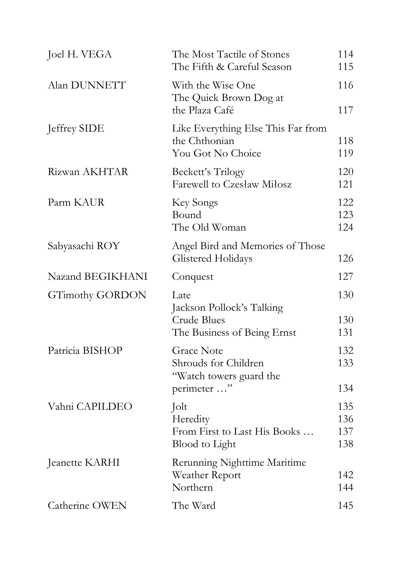| Joel H. VEGA           | The Most Tactile of Stones<br>The Fifth & Careful Season                               | 114<br>115               |
|------------------------|----------------------------------------------------------------------------------------|--------------------------|
| Alan DUNNETT           | With the Wise One<br>The Quick Brown Dog at<br>the Plaza Café                          | 116<br>117               |
| Jeffrey SIDE           | Like Everything Else This Far from<br>the Chthonian<br>You Got No Choice               | 118<br>119               |
| Rizwan AKHTAR          | Beckett's Trilogy<br>Farewell to Czesław Miłosz                                        | 120<br>121               |
| Parm KAUR              | Key Songs<br>Bound<br>The Old Woman                                                    | 122<br>123<br>124        |
| Sabyasachi ROY         | Angel Bird and Memories of Those<br><b>Glistered Holidays</b>                          | 126                      |
| Nazand BEGIKHANI       | Conquest                                                                               | 127                      |
| <b>GTimothy GORDON</b> | Late<br>Jackson Pollock's Talking<br><b>Crude Blues</b><br>The Business of Being Ernst | 130<br>130<br>131        |
| Patricia BISHOP        | <b>Grace Note</b><br>Shrouds for Children<br>"Watch towers guard the<br>perimeter "    | 132<br>133<br>134        |
| Vahni CAPILDEO         | Jolt<br>Heredity<br>From First to Last His Books<br><b>Blood</b> to Light              | 135<br>136<br>137<br>138 |
| Jeanette KARHI         | Rerunning Nighttime Maritime<br>Weather Report<br>Northern                             | 142<br>144               |
| Catherine OWEN         | The Ward                                                                               | 145                      |